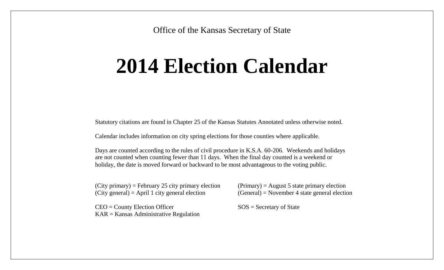Office of the Kansas Secretary of State

## **2014 Election Calendar**

Statutory citations are found in Chapter 25 of the Kansas Statutes Annotated unless otherwise noted.

Calendar includes information on city spring elections for those counties where applicable.

Days are counted according to the rules of civil procedure in K.S.A. 60-206. Weekends and holidays are not counted when counting fewer than 11 days. When the final day counted is a weekend or holiday, the date is moved forward or backward to be most advantageous to the voting public.

 $(City primary) = February 25 city primary electron$  (Primary) = August 5 state primary election  $(City general) = April 1 city general election$  (General) = November 4 state general election

 $CEO =$  County Election Officer  $SOS =$  Secretary of State KAR = Kansas Administrative Regulation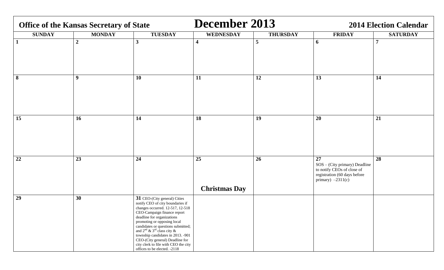| <b>Office of the Kansas Secretary of State</b> |                  |                                                                                                                                                                                                                                                                                                                                                                                                                                | December 2013              |                 | <b>2014 Election Calendar</b>                                                                                            |                 |  |
|------------------------------------------------|------------------|--------------------------------------------------------------------------------------------------------------------------------------------------------------------------------------------------------------------------------------------------------------------------------------------------------------------------------------------------------------------------------------------------------------------------------|----------------------------|-----------------|--------------------------------------------------------------------------------------------------------------------------|-----------------|--|
| <b>SUNDAY</b>                                  | <b>MONDAY</b>    | <b>TUESDAY</b>                                                                                                                                                                                                                                                                                                                                                                                                                 | <b>WEDNESDAY</b>           | <b>THURSDAY</b> | <b>FRIDAY</b>                                                                                                            | <b>SATURDAY</b> |  |
| $\mathbf{1}$                                   | $\boldsymbol{2}$ | $\mathbf{3}$                                                                                                                                                                                                                                                                                                                                                                                                                   | $\overline{\mathbf{4}}$    | 5               | 6                                                                                                                        | $\overline{7}$  |  |
| 8                                              | 9                | 10                                                                                                                                                                                                                                                                                                                                                                                                                             | 11                         | 12              | 13                                                                                                                       | 14              |  |
| 15                                             | 16               | 14                                                                                                                                                                                                                                                                                                                                                                                                                             | 18                         | 19              | 20                                                                                                                       | 21              |  |
| 22                                             | 23               | 24                                                                                                                                                                                                                                                                                                                                                                                                                             | 25<br><b>Christmas Day</b> | 26              | 27<br>SOS - (City primary) Deadline<br>to notify CEOs of close of<br>registration (60 days before<br>primary) $-2311(c)$ | 28              |  |
| 29                                             | 30               | 31 CEO-(City general) Cities<br>notify CEO of city boundaries if<br>changes occurred. 12-517, 12-518<br>CEO-Campaign finance report<br>deadline for organizations<br>promoting or opposing local<br>candidates or questions submitted;<br>and $2^{nd}$ & $3^{rd}$ class city &<br>township candidates in 2013. -901<br>CEO-(City general) Deadline for<br>city clerk to file with CEO the city<br>offices to be elected. -2118 |                            |                 |                                                                                                                          |                 |  |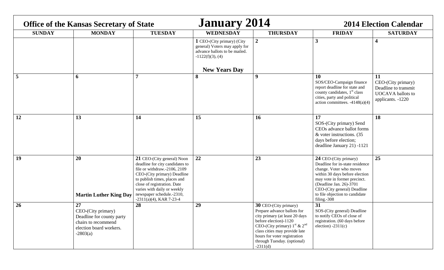| <b>Office of the Kansas Secretary of State</b> |                                                                                                                       |                                                                                                                                                                                                                                                                                       | <b>January 2014</b>                                                                                                                         |                                                                                                                                                                                                                                                                                              | <b>2014 Election Calendar</b>                                                                                                                                                                                                                                    |                                                                                                   |  |
|------------------------------------------------|-----------------------------------------------------------------------------------------------------------------------|---------------------------------------------------------------------------------------------------------------------------------------------------------------------------------------------------------------------------------------------------------------------------------------|---------------------------------------------------------------------------------------------------------------------------------------------|----------------------------------------------------------------------------------------------------------------------------------------------------------------------------------------------------------------------------------------------------------------------------------------------|------------------------------------------------------------------------------------------------------------------------------------------------------------------------------------------------------------------------------------------------------------------|---------------------------------------------------------------------------------------------------|--|
| <b>SUNDAY</b>                                  | <b>MONDAY</b>                                                                                                         | <b>TUESDAY</b>                                                                                                                                                                                                                                                                        | <b>WEDNESDAY</b>                                                                                                                            | <b>THURSDAY</b>                                                                                                                                                                                                                                                                              | <b>FRIDAY</b>                                                                                                                                                                                                                                                    | <b>SATURDAY</b>                                                                                   |  |
|                                                |                                                                                                                       |                                                                                                                                                                                                                                                                                       | 1 CEO-(City primary) (City<br>general) Voters may apply for<br>advance ballots to be mailed.<br>$-1122(f)(3)$ , (4)<br><b>New Years Day</b> | $\overline{2}$                                                                                                                                                                                                                                                                               | $\mathbf{3}$                                                                                                                                                                                                                                                     | $\overline{\mathbf{4}}$                                                                           |  |
| 5                                              | 6                                                                                                                     |                                                                                                                                                                                                                                                                                       | 8                                                                                                                                           | 9                                                                                                                                                                                                                                                                                            | 10<br>SOS/CEO-Campaign finance<br>report deadline for state and<br>county candidates, $1st$ class<br>cities, party and political<br>action committees. $-4148(a)(4)$                                                                                             | 11<br>CEO-(City primary)<br>Deadline to transmit<br><b>UOCAVA</b> ballots to<br>applicants. -1220 |  |
| 12                                             | 13                                                                                                                    | 14                                                                                                                                                                                                                                                                                    | 15                                                                                                                                          | 16                                                                                                                                                                                                                                                                                           | 17<br>SOS-(City primary) Send<br>CEOs advance ballot forms<br>& voter instructions. (35)<br>days before election;<br>deadline January 21) -1121                                                                                                                  | 18                                                                                                |  |
| 19                                             | 20<br><b>Martin Luther King Day</b>                                                                                   | 21 CEO-(City general) Noon<br>deadline for city candidates to<br>file or withdraw.-2106, 2109<br>CEO-(City primary) Deadline<br>to publish times, places and<br>close of registration. Date<br>varies with daily or weekly<br>newspaper schedule.-2310,<br>$-2311(a)(4)$ , KAR 7-23-4 | 22                                                                                                                                          | 23                                                                                                                                                                                                                                                                                           | 24 CEO-(City primary)<br>Deadline for in-state residence<br>change. Voter who moves<br>within 30 days before election<br>may vote in former precinct.<br>(Deadline Jan. 26)-3701<br>CEO-(City general) Deadline<br>to file objection to candidate<br>filing.-308 | 25                                                                                                |  |
| 26                                             | 27<br>CEO-(City primary)<br>Deadline for county party<br>chairs to recommend<br>election board workers.<br>$-2803(a)$ | 28                                                                                                                                                                                                                                                                                    | 29                                                                                                                                          | <b>30 CEO-(City primary)</b><br>Prepare advance ballots for<br>city primary (at least 20 days<br>before election)-1120<br>CEO-(City primary) $1^{\text{st}}$ & $2^{\text{nd}}$<br>class cities may provide late<br>hours for voter registration<br>through Tuesday. (optional)<br>$-2311(d)$ | 31<br>SOS-(City general) Deadline<br>to notify CEOs of close of<br>registration. (60 days before<br>election) $-2311(c)$                                                                                                                                         |                                                                                                   |  |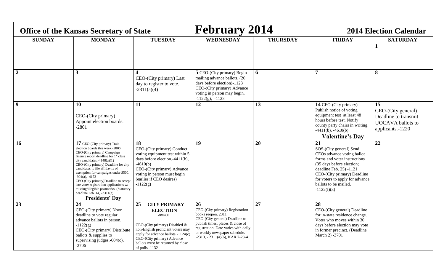| <b>Office of the Kansas Secretary of State</b> |                                                                                                                                                                                                                                                                                                                                                                                                                                                                                                                          |                                                                                                                                                                                                                                                                | <b>February 2014</b>                                                                                                                                                                                                                            |                 | <b>2014 Election Calendar</b>                                                                                                                                                                                                                                   |                                                                                                  |  |
|------------------------------------------------|--------------------------------------------------------------------------------------------------------------------------------------------------------------------------------------------------------------------------------------------------------------------------------------------------------------------------------------------------------------------------------------------------------------------------------------------------------------------------------------------------------------------------|----------------------------------------------------------------------------------------------------------------------------------------------------------------------------------------------------------------------------------------------------------------|-------------------------------------------------------------------------------------------------------------------------------------------------------------------------------------------------------------------------------------------------|-----------------|-----------------------------------------------------------------------------------------------------------------------------------------------------------------------------------------------------------------------------------------------------------------|--------------------------------------------------------------------------------------------------|--|
| <b>SUNDAY</b>                                  | <b>MONDAY</b>                                                                                                                                                                                                                                                                                                                                                                                                                                                                                                            | <b>TUESDAY</b>                                                                                                                                                                                                                                                 | <b>WEDNESDAY</b>                                                                                                                                                                                                                                | <b>THURSDAY</b> | <b>FRIDAY</b>                                                                                                                                                                                                                                                   | <b>SATURDAY</b>                                                                                  |  |
|                                                |                                                                                                                                                                                                                                                                                                                                                                                                                                                                                                                          |                                                                                                                                                                                                                                                                |                                                                                                                                                                                                                                                 |                 |                                                                                                                                                                                                                                                                 |                                                                                                  |  |
| $\overline{2}$                                 | 3                                                                                                                                                                                                                                                                                                                                                                                                                                                                                                                        | CEO-(City primary) Last<br>day to register to vote.<br>$-2311(a)(4)$                                                                                                                                                                                           | 5 CEO-(City primary) Begin<br>mailing advance ballots. (20<br>days before election)-1123<br>CEO-(City primary) Advance<br>voting in person may begin.<br>$-1122(g)$ , $-1123$                                                                   | 6               | 7                                                                                                                                                                                                                                                               | 8                                                                                                |  |
| $\boldsymbol{9}$                               | 10<br>CEO-(City primary)<br>Appoint election boards.<br>$-2801$                                                                                                                                                                                                                                                                                                                                                                                                                                                          | 11                                                                                                                                                                                                                                                             | 12                                                                                                                                                                                                                                              | 13              | 14 CEO-(City primary)<br>Publish notice of voting<br>equipment test at least 48<br>hours before test. Notify<br>county party chairs in writing.<br>$-4411(b)$ , $-4610(b)$<br><b>Valentine's Day</b>                                                            | 15<br>CEO-(City general)<br>Deadline to transmit<br><b>UOCAVA</b> ballots to<br>applicants.-1220 |  |
| <b>16</b>                                      | 17 CEO-(City primary) Train<br>election boards this week.-2806<br>CEO-(City primary) Campaign<br>finance report deadline for 1 <sup>st</sup> class<br>city candidates. $-4148(a)(1)$<br>CEO-(City primary) Deadline for city<br>candidates to file affidavits of<br>exemption for campaigns under \$500.<br>$-904(a)$ , $-4173$<br>CEO-(City primary)Deadline to accept<br>late voter registration applications w/<br>missing/illegible postmarks. (Statutory<br>deadline Feb. $14) - 2311(e)$<br><b>Presidents' Day</b> | 18<br>CEO-(City primary) Conduct<br>voting equipment test within 5<br>days before election.-4411(b),<br>$-4610(b)$<br>CEO-(City primary) Advance<br>voting in person must begin<br>(earlier if CEO desires)<br>$-1122(g)$                                      | 19                                                                                                                                                                                                                                              | 20              | 21<br>SOS-(City general) Send<br>CEOs advance voting ballot<br>forms and voter instructions<br>(35 days before election;<br>deadline Feb. 25) -1121<br>CEO-(City primary) Deadline<br>for voters to apply for advance<br>ballots to be mailed.<br>$-1122(f)(3)$ | 22                                                                                               |  |
| 23                                             | 24<br>CEO-(City primary) Noon<br>deadline to vote regular<br>advance ballots in person.<br>$-1122(g)$<br>CEO-(City primary) Distribute<br>ballots & supplies to<br>supervising judges.-604(c),<br>$-2706$                                                                                                                                                                                                                                                                                                                | 25<br><b>CITY PRIMARY</b><br><b>ELECTION</b><br>$-2108a(a)$<br>CEO-(City primary) Disabled &<br>non-English proficient voters may<br>apply for advance ballots.-1124(c)<br>CEO-(City primary) Advance<br>ballots must be returned by close<br>of polls $-1132$ | 26<br>CEO-(City primary) Registration<br>books reopen. 2311<br>CEO-(City general) Deadline to<br>publish times, places & close of<br>registration. Date varies with daily<br>or weekly newspaper schedule.<br>$-2310, -2311(a)(6)$ , KAR 7-23-4 | 27              | 28<br>CEO-(City general) Deadline<br>for in-state residence change.<br>Voter who moves within 30<br>days before election may vote<br>in former precinct. (Deadline<br>March 2) -3701                                                                            |                                                                                                  |  |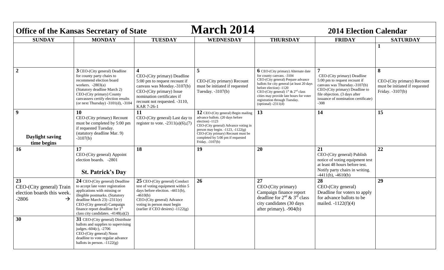|                                                                                          | <b>Office of the Kansas Secretary of State</b>                                                                                                                                                                                                                                              |                                                                                                                                                                                                                                 | <b>March 2014</b>                                                                                                                                                                                                                                                             |                                                                                                                                                                                                                                                                                                                                            | <b>2014 Election Calendar</b>                                                                                                                                                                                     |                                                                                       |  |
|------------------------------------------------------------------------------------------|---------------------------------------------------------------------------------------------------------------------------------------------------------------------------------------------------------------------------------------------------------------------------------------------|---------------------------------------------------------------------------------------------------------------------------------------------------------------------------------------------------------------------------------|-------------------------------------------------------------------------------------------------------------------------------------------------------------------------------------------------------------------------------------------------------------------------------|--------------------------------------------------------------------------------------------------------------------------------------------------------------------------------------------------------------------------------------------------------------------------------------------------------------------------------------------|-------------------------------------------------------------------------------------------------------------------------------------------------------------------------------------------------------------------|---------------------------------------------------------------------------------------|--|
| <b>SUNDAY</b>                                                                            | <b>MONDAY</b>                                                                                                                                                                                                                                                                               | <b>TUESDAY</b>                                                                                                                                                                                                                  | <b>WEDNESDAY</b>                                                                                                                                                                                                                                                              | <b>THURSDAY</b>                                                                                                                                                                                                                                                                                                                            | <b>FRIDAY</b>                                                                                                                                                                                                     | <b>SATURDAY</b>                                                                       |  |
|                                                                                          |                                                                                                                                                                                                                                                                                             |                                                                                                                                                                                                                                 |                                                                                                                                                                                                                                                                               |                                                                                                                                                                                                                                                                                                                                            |                                                                                                                                                                                                                   | 1                                                                                     |  |
| $\boldsymbol{2}$                                                                         | 3 CEO-(City general) Deadline<br>for county party chairs to<br>recommend election board<br>workers. $-2803(a)$<br>(Statutory deadline March 2)<br>CEO-(City primary) County<br>canvassers certify election results<br>(or next Thursday) $-3101(d)$ , $-3104$                               | $\overline{\mathbf{4}}$<br>CEO-(City primary) Deadline<br>5:00 pm to request recount if<br>canvass was Monday.-3107(b)<br>CEO-(City primary) Issue<br>nomination certificates if<br>recount not requested. -3110,<br>KAR 7-26-1 | 5<br>CEO-(City primary) Recount<br>must be initiated if requested<br>Tuesday. $-3107(b)$                                                                                                                                                                                      | $\bf{6}$ CEO-(City primary) Alternate date<br>for county canvass. -3104<br>CEO-(City general) Prepare advance<br>ballots for city general (at least 20 days<br>before election) -1120<br>CEO-(City general) $1^{st}$ & $2^{nd}$ class<br>cities may provide late hours for voter<br>registration through Tuesday.<br>(optional) $-2311(d)$ | CEO-(City primary) Deadline<br>5:00 pm to request recount if<br>canvass was Thursday.-3107(b)<br>CEO-(City primary) Deadline to<br>file objection. (3 days after<br>issuance of nomination certificate)<br>$-308$ | 8<br>CEO-(City primary) Recount<br>must be initiated if requested<br>Friday. -3107(b) |  |
| 9<br>Daylight saving<br>time begins                                                      | 10<br>CEO-(City primary) Recount<br>must be completed by 5:00 pm<br>if requested Tuesday.<br>(statutory deadline Mar. 9)<br>$-3107(b)$                                                                                                                                                      | 11<br>CEO-(City general) Last day to<br>register to vote. $-2311(a)(6),(7)$                                                                                                                                                     | 12 CEO-(City general) Begin mailing<br>advance ballots. (20 days before<br>$electron) -1123$<br>CEO-(City general) Advance voting in<br>person may begin. $-1123$ , $-1122(g)$<br>CEO-(City primary) Recount must be<br>completed by 5:00 pm if requested<br>Friday. -3107(b) | 13                                                                                                                                                                                                                                                                                                                                         | 14                                                                                                                                                                                                                | 15                                                                                    |  |
| 16                                                                                       | 17<br>CEO-(City general) Appoint<br>election boards. - 2801<br><b>St. Patrick's Day</b>                                                                                                                                                                                                     | 18                                                                                                                                                                                                                              | 19                                                                                                                                                                                                                                                                            | 20                                                                                                                                                                                                                                                                                                                                         | 21<br>CEO-(City general) Publish<br>notice of voting equipment test<br>at least 48 hours before test.<br>Notify party chairs in writing.<br>$-4411(b)$ , $-4610(b)$                                               | 22                                                                                    |  |
| 23<br>CEO-(City general) Train<br>election boards this week.<br>$-2806$<br>$\rightarrow$ | 24 CEO-(City general) Deadline<br>to accept late voter registration<br>applications with missing or<br>illegible postmarks. (Statutory<br>deadline March 23) -2311(e)<br>CEO-(City general) Campaign<br>finance report deadline for 1 <sup>st</sup><br>class city candidates. $-4148(a)(2)$ | 25 CEO-(City general) Conduct<br>test of voting equipment within 5<br>days before election. -4411(b),<br>$-4610(b)$<br>CEO-(City general) Advance<br>voting in person must begin<br>(earlier if CEO desires) $-1122(g)$         | 26                                                                                                                                                                                                                                                                            | 27<br>CEO-(City primary)<br>Campaign finance report<br>deadline for $2^{nd}$ & $3^{rd}$ class<br>city candidates (30 days<br>after primary). -904(b)                                                                                                                                                                                       | 28<br>CEO-(City general)<br>Deadline for voters to apply<br>for advance ballots to be<br>mailed. $-1122(f)(4)$                                                                                                    | 29                                                                                    |  |
| 30                                                                                       | 31 CEO-(City general) Distribute<br>ballots and supplies to supervising<br>judges.-604(c), -2706<br>CEO-(City general) Noon<br>deadline to vote regular advance<br>ballots in person. $-1122(g)$                                                                                            |                                                                                                                                                                                                                                 |                                                                                                                                                                                                                                                                               |                                                                                                                                                                                                                                                                                                                                            |                                                                                                                                                                                                                   |                                                                                       |  |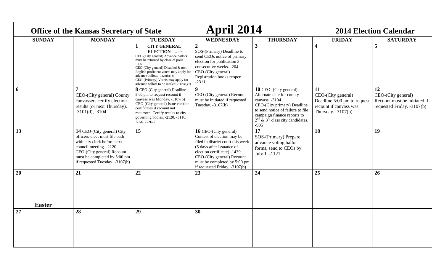| <b>Office of the Kansas Secretary of State</b> |                                                                                                                                                                                                                      |                                                                                                                                                                                                                                                                                                                                               | April 2014                                                                                                                                                                                                                                                   |                                                                                                                                                                                                                                   | <b>2014 Election Calendar</b>                                                                             |                                                                                        |
|------------------------------------------------|----------------------------------------------------------------------------------------------------------------------------------------------------------------------------------------------------------------------|-----------------------------------------------------------------------------------------------------------------------------------------------------------------------------------------------------------------------------------------------------------------------------------------------------------------------------------------------|--------------------------------------------------------------------------------------------------------------------------------------------------------------------------------------------------------------------------------------------------------------|-----------------------------------------------------------------------------------------------------------------------------------------------------------------------------------------------------------------------------------|-----------------------------------------------------------------------------------------------------------|----------------------------------------------------------------------------------------|
| <b>SUNDAY</b>                                  | <b>MONDAY</b>                                                                                                                                                                                                        | <b>TUESDAY</b>                                                                                                                                                                                                                                                                                                                                | <b>WEDNESDAY</b>                                                                                                                                                                                                                                             | <b>THURSDAY</b>                                                                                                                                                                                                                   | <b>FRIDAY</b>                                                                                             | <b>SATURDAY</b>                                                                        |
|                                                |                                                                                                                                                                                                                      | <b>CITY GENERAL</b><br><b>ELECTION</b> -2107<br>CEO-(City general) Advance ballots<br>must be returned by close of polls.<br>$-1132$<br>CEO-(City general) Disabled & non-<br>English proficient voters may apply for<br>advance ballots. $-1124(b)$ , (d)<br>CEO-(Primary) Voters may apply for<br>advance ballots to be mailed. -1122(f)(1) | $\overline{2}$<br>SOS-(Primary) Deadline to<br>send CEOs notice of primary<br>election for publication 3<br>consecutive weeks. -204<br>CEO-(City general)<br>Registration books reopen.<br>$-2311$                                                           | $\overline{\mathbf{3}}$                                                                                                                                                                                                           | $\overline{\mathbf{4}}$                                                                                   | 5                                                                                      |
| 6                                              | CEO-(City general) County<br>canvassers certify election<br>results (or next Thursday).<br>$-3101(d)$ , $-3104$                                                                                                      | 8 CEO-(City general) Deadline<br>5:00 pm to request recount if<br>canvass was Monday. -3107(b)<br>CEO-(City general) Issue election<br>certificates if recount not<br>requested. Certify results to city<br>governing bodies. -2120, -3110,<br>KAR 7-26-2                                                                                     | $\boldsymbol{9}$<br>CEO-(City general) Recount<br>must be initiated if requested<br>Tuesday. $-3107(b)$                                                                                                                                                      | <b>10</b> CEO- (City general)<br>Alternate date for county<br>canvass. -3104<br>CEO-(City primary) Deadline<br>to send notice of failure to file<br>campaign finance reports to<br>$2nd$ & $3rd$ class city candidates.<br>$-905$ | 11<br>CEO-(City general)<br>Deadline 5:00 pm to request<br>recount if canvass was<br>Thursday. $-3107(b)$ | 12<br>CEO-(City general)<br>Recount must be initiated if<br>requested Friday. -3107(b) |
| 13                                             | 14 CEO-(City general) City<br>officers-elect must file oath<br>with city clerk before next<br>council meeting. -2120<br>CEO-(City general) Recount<br>must be completed by 5:00 pm<br>if requested Tuesday. -3107(b) | 15                                                                                                                                                                                                                                                                                                                                            | <b>16</b> CEO-(City general)<br>Contest of election may be<br>filed in district court this week<br>(5 days after issuance of<br>election certificate) -1439<br>CEO-(City general) Recount<br>must be completed by 5:00 pm<br>if requested Friday. $-3107(b)$ | $\overline{17}$<br>SOS-(Primary) Prepare<br>advance voting ballot<br>forms, send to CEOs by<br>July 1. -1121                                                                                                                      | 18                                                                                                        | 19                                                                                     |
| 20<br><b>Easter</b>                            | 21                                                                                                                                                                                                                   | 22                                                                                                                                                                                                                                                                                                                                            | 23                                                                                                                                                                                                                                                           | 24                                                                                                                                                                                                                                | 25                                                                                                        | 26                                                                                     |
|                                                | 28                                                                                                                                                                                                                   |                                                                                                                                                                                                                                                                                                                                               |                                                                                                                                                                                                                                                              |                                                                                                                                                                                                                                   |                                                                                                           |                                                                                        |
| 27                                             |                                                                                                                                                                                                                      | 29                                                                                                                                                                                                                                                                                                                                            | 30                                                                                                                                                                                                                                                           |                                                                                                                                                                                                                                   |                                                                                                           |                                                                                        |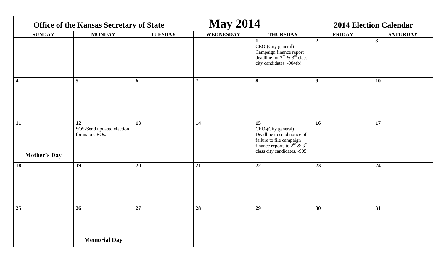| <b>Office of the Kansas Secretary of State</b> |                                                   |                 | <b>May 2014</b>  |                                                                                                                                                       | <b>2014 Election Calendar</b> |                 |  |
|------------------------------------------------|---------------------------------------------------|-----------------|------------------|-------------------------------------------------------------------------------------------------------------------------------------------------------|-------------------------------|-----------------|--|
| <b>SUNDAY</b>                                  | <b>MONDAY</b>                                     | <b>TUESDAY</b>  | <b>WEDNESDAY</b> | <b>THURSDAY</b>                                                                                                                                       | <b>FRIDAY</b>                 | <b>SATURDAY</b> |  |
|                                                |                                                   |                 |                  | $\mathbf{1}$<br>CEO-(City general)<br>Campaign finance report<br>deadline for $2nd$ & $3rd$ class<br>city candidates. -904(b)                         | $\boldsymbol{2}$              | $\mathbf{3}$    |  |
| $\overline{\mathbf{4}}$                        | 5                                                 | 6               | $\overline{7}$   | 8                                                                                                                                                     | 9 <sup>°</sup>                | <b>10</b>       |  |
| 11<br><b>Mother's Day</b>                      | 12<br>SOS-Send updated election<br>forms to CEOs. | $\overline{13}$ | 14               | 15<br>CEO-(City general)<br>Deadline to send notice of<br>failure to file campaign<br>finance reports to $2nd$ & $3rd$<br>class city candidates. -905 | 16                            | $\overline{17}$ |  |
| 18                                             | 19                                                | 20              | 21               | 22                                                                                                                                                    | 23                            | 24              |  |
| 25                                             | 26                                                | 27              | 28               | 29                                                                                                                                                    | 30                            | 31              |  |
|                                                | <b>Memorial Day</b>                               |                 |                  |                                                                                                                                                       |                               |                 |  |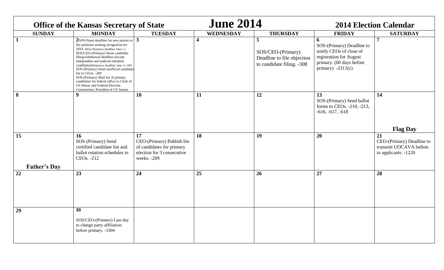| <b>Office of the Kansas Secretary of State</b> |                                                                                                                                                                                                                                                                                                                                                                                                                                                                                                                                          |                                                                                                            | <b>June 2014</b>        |                                                                                                | <b>2014 Election Calendar</b>                                                                                                           |                                                                                    |
|------------------------------------------------|------------------------------------------------------------------------------------------------------------------------------------------------------------------------------------------------------------------------------------------------------------------------------------------------------------------------------------------------------------------------------------------------------------------------------------------------------------------------------------------------------------------------------------------|------------------------------------------------------------------------------------------------------------|-------------------------|------------------------------------------------------------------------------------------------|-----------------------------------------------------------------------------------------------------------------------------------------|------------------------------------------------------------------------------------|
| <b>SUNDAY</b>                                  | <b>MONDAY</b>                                                                                                                                                                                                                                                                                                                                                                                                                                                                                                                            | <b>TUESDAY</b>                                                                                             | WEDNESDAY               | <b>THURSDAY</b>                                                                                | <b>FRIDAY</b>                                                                                                                           | <b>SATURDAY</b>                                                                    |
| $\mathbf{1}$                                   | $2$ SOS-Noon deadline for new parties to $\vert 3 \vert$<br>file petitions seeking recognition for<br>2014.-302a (Statutory deadline June 1.)<br>SOS/CEO-(Primary) Noon candidate<br>filing/withdrawal deadline (except<br>independent and judicial retention<br>candidates)(Statutory deadline June 1) -205<br>SOS-(Primary) Send unofficial candidate<br>list to CEOs. -209<br>SOS-(Primary) Mail list of primary<br>candidates for federal office to Clerk of<br>US House and Federal Election<br>Commission, President of US Senate. |                                                                                                            | $\overline{\mathbf{4}}$ | $\overline{5}$<br>SOS/CEO-(Primary)<br>Deadline to file objection<br>to candidate filing. -308 | 6<br>SOS-(Primary) Deadline to<br>notify CEOs of close of<br>registration for August<br>primary. (60 days before<br>primary) $-2311(c)$ | $\overline{7}$                                                                     |
| 8                                              | $\boldsymbol{9}$                                                                                                                                                                                                                                                                                                                                                                                                                                                                                                                         | 10                                                                                                         | 11                      | 12                                                                                             | 13<br>SOS-(Primary) Send ballot<br>forms to CEOs. -210, -213,<br>$-616, -617, -618$                                                     | 14<br><b>Flag Day</b>                                                              |
| 15<br><b>Father's Day</b>                      | <b>16</b><br>SOS-(Primary) Send<br>certified candidate list and<br>ballot rotation schedules to<br>CEOs. -212                                                                                                                                                                                                                                                                                                                                                                                                                            | 17<br>CEO-(Primary) Publish list<br>of candidates for primary<br>election for 3 consecutive<br>weeks. -209 | 18                      | 19                                                                                             | 20                                                                                                                                      | 21<br>CEO-(Primary) Deadline to<br>transmit UOCAVA ballots<br>to applicants. -1220 |
| 22                                             | 23                                                                                                                                                                                                                                                                                                                                                                                                                                                                                                                                       | 24                                                                                                         | 25                      | 26                                                                                             | 27                                                                                                                                      | 28                                                                                 |
| 29                                             | 30<br>SOS/CEO-(Primary) Last day<br>to change party affiliation<br>before primary. -3304                                                                                                                                                                                                                                                                                                                                                                                                                                                 |                                                                                                            |                         |                                                                                                |                                                                                                                                         |                                                                                    |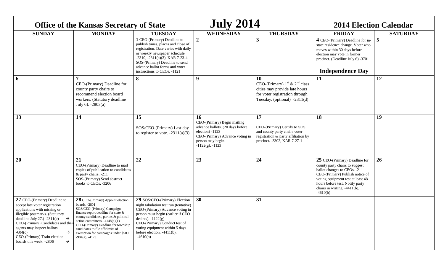| <b>Office of the Kansas Secretary of State</b>                                                                                                                                                                                                                                                                                                         |                                                                                                                                                                                                                                                                                                                                                  | <b>July 2014</b>                                                                                                                                                                                                                                                                         |                                                                                                                                                                          | <b>2014 Election Calendar</b>                                                                                                                       |                                                                                                                                                                                                                                                          |                 |
|--------------------------------------------------------------------------------------------------------------------------------------------------------------------------------------------------------------------------------------------------------------------------------------------------------------------------------------------------------|--------------------------------------------------------------------------------------------------------------------------------------------------------------------------------------------------------------------------------------------------------------------------------------------------------------------------------------------------|------------------------------------------------------------------------------------------------------------------------------------------------------------------------------------------------------------------------------------------------------------------------------------------|--------------------------------------------------------------------------------------------------------------------------------------------------------------------------|-----------------------------------------------------------------------------------------------------------------------------------------------------|----------------------------------------------------------------------------------------------------------------------------------------------------------------------------------------------------------------------------------------------------------|-----------------|
| <b>SUNDAY</b>                                                                                                                                                                                                                                                                                                                                          | <b>MONDAY</b>                                                                                                                                                                                                                                                                                                                                    | <b>TUESDAY</b>                                                                                                                                                                                                                                                                           | <b>WEDNESDAY</b>                                                                                                                                                         | <b>THURSDAY</b>                                                                                                                                     | <b>FRIDAY</b>                                                                                                                                                                                                                                            | <b>SATURDAY</b> |
|                                                                                                                                                                                                                                                                                                                                                        |                                                                                                                                                                                                                                                                                                                                                  | 1 CEO-(Primary) Deadline to<br>publish times, places and close of<br>registration. Date varies with daily<br>or weekly newspaper schedule.<br>$-2310, -2311(a)(3)$ , KAR 7-23-4<br>SOS-(Primary) Deadline to send<br>advance ballot forms and voter<br>instructions to CEOs. -1121       | $\overline{2}$                                                                                                                                                           | $\mathbf{3}$                                                                                                                                        | 4 CEO-(Primary) Deadline for in-<br>state residence change. Voter who<br>moves within 30 days before<br>election may vote in former<br>precinct. (Deadline July 6) -3701<br><b>Independence Day</b>                                                      | 5               |
| 6                                                                                                                                                                                                                                                                                                                                                      | CEO-(Primary) Deadline for<br>county party chairs to<br>recommend election board<br>workers. (Statutory deadline<br>July 6). $-2803(a)$                                                                                                                                                                                                          | 8                                                                                                                                                                                                                                                                                        | 9                                                                                                                                                                        | <b>10</b><br>CEO-(Primary) $1st$ & $2nd$ class<br>cities may provide late hours<br>for voter registration through<br>Tuesday. (optional) $-2311(d)$ | 11                                                                                                                                                                                                                                                       | 12              |
| 13                                                                                                                                                                                                                                                                                                                                                     | 14                                                                                                                                                                                                                                                                                                                                               | 15<br>SOS/CEO-(Primary) Last day<br>to register to vote. $-2311(a)(3)$                                                                                                                                                                                                                   | 16<br>CEO-(Primary) Begin mailing<br>advance ballots. (20 days before<br>election) -1123<br>CEO-(Primary) Advance voting in<br>person may begin.<br>$-1122(g)$ , $-1123$ | 17<br>CEO-(Primary) Certify to SOS<br>and county party chairs voter<br>registration & party affiliation by<br>precinct. -3302, KAR 7-27-1           | 18                                                                                                                                                                                                                                                       | 19              |
| 20                                                                                                                                                                                                                                                                                                                                                     | 21<br>CEO-(Primary) Deadline to mail<br>copies of publication to candidates<br>& party chairs. -211<br>SOS-(Primary) Send abstract<br>books to CEOs. -3206                                                                                                                                                                                       | 22                                                                                                                                                                                                                                                                                       | 23                                                                                                                                                                       | 24                                                                                                                                                  | 25 CEO-(Primary) Deadline for<br>county party chairs to suggest<br>ballot changes to CEOs. -211<br>CEO-(Primary) Publish notice of<br>voting equipment test at least 48<br>hours before test. Notify party<br>chairs in writing. -4411(b),<br>$-4610(b)$ | 26              |
| 27 CEO-(Primary) Deadline to<br>accept late voter registration<br>applications with missing or<br>illegible postmarks. (Statutory<br>deadline July 27.) $-2311(e)$<br>$\rightarrow$<br>CEO-(Primary) Candidates and their<br>agents may inspect ballots.<br>→<br>$-604(c)$<br>CEO-(Primary) Train election<br>boards this week. -2806<br>$\rightarrow$ | 28 CEO-(Primary) Appoint election<br>boards. - 2801<br>SOS/CEO-(Primary) Campaign<br>finance report deadline for state &<br>county candidates, parties & political<br>action committees. $-4148(a)(1)$<br>CEO-(Primary) Deadline for township<br>candidates to file affidavits of<br>exemption for campaigns under \$500.<br>$-904(a)$ , $-4173$ | 29 SOS/CEO-(Primary) Election<br>night tabulation test run.(tentative)<br>CEO-(Primary) Advance voting in<br>person must begin (earlier if CEO<br>desires). $-1122(g)$<br>CEO-(Primary) Conduct test of<br>voting equipment within 5 days<br>before election. $-4411(b)$ ,<br>$-4610(b)$ | 30                                                                                                                                                                       | 31                                                                                                                                                  |                                                                                                                                                                                                                                                          |                 |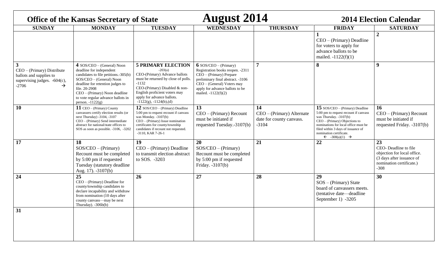|                                                                                                                         | <b>Office of the Kansas Secretary of State</b>                                                                                                                                                                                                                               |                                                                                                                                                                                                                                                            | <b>August 2014</b>                                                                                                                                                                                                      |                                                                        | <b>2014 Election Calendar</b>                                                                                                                                                                                                                                                             |                                                                                                                              |
|-------------------------------------------------------------------------------------------------------------------------|------------------------------------------------------------------------------------------------------------------------------------------------------------------------------------------------------------------------------------------------------------------------------|------------------------------------------------------------------------------------------------------------------------------------------------------------------------------------------------------------------------------------------------------------|-------------------------------------------------------------------------------------------------------------------------------------------------------------------------------------------------------------------------|------------------------------------------------------------------------|-------------------------------------------------------------------------------------------------------------------------------------------------------------------------------------------------------------------------------------------------------------------------------------------|------------------------------------------------------------------------------------------------------------------------------|
| <b>SUNDAY</b>                                                                                                           | <b>MONDAY</b>                                                                                                                                                                                                                                                                | <b>TUESDAY</b>                                                                                                                                                                                                                                             | <b>WEDNESDAY</b>                                                                                                                                                                                                        | <b>THURSDAY</b>                                                        | <b>FRIDAY</b>                                                                                                                                                                                                                                                                             | <b>SATURDAY</b>                                                                                                              |
|                                                                                                                         |                                                                                                                                                                                                                                                                              |                                                                                                                                                                                                                                                            |                                                                                                                                                                                                                         |                                                                        | 1<br>$CEO - (Primary)$ Deadline<br>for voters to apply for<br>advance ballots to be<br>mailed. $-1122(f)(1)$                                                                                                                                                                              | $\overline{2}$                                                                                                               |
| $\overline{3}$<br>$CEO - (Primary)$ Distribute<br>ballots and supplies to<br>supervising judges. $-604(c)$ ,<br>$-2706$ | 4 SOS/CEO - (General) Noon<br>deadline for independent<br>candidates to file petitions.-305(b)<br>SOS/CEO - (General) Noon<br>deadline for retention judges to<br>file. 20-2908<br>CEO - (Primary) Noon deadline<br>to vote regular advance ballots in<br>person. $-1122(g)$ | <b>5 PRIMARY ELECTION</b><br>$-203(a)$<br>CEO-(Primary) Advance ballots<br>must be returned by close of polls.<br>$-1132$<br>CEO-(Primary) Disabled & non-<br>English proficient voters may<br>apply for advance ballots.<br>$-1122(g)$ , $-1124(b)$ , (d) | $6$ SOS/CEO – (Primary)<br>Registration books reopen. -2311<br>CEO - (Primary) Prepare<br>preliminary final abstract. -3106<br>$CEO - (General) Voters$ may<br>apply for advance ballots to be<br>mailed. $-1122(f)(2)$ | $\overline{7}$                                                         | 8                                                                                                                                                                                                                                                                                         | $\boldsymbol{9}$                                                                                                             |
| 10                                                                                                                      | 11 CEO - (Primary) County<br>canvassers certify election results (or<br>next Thursday) -3104, -3107<br>CEO - (Primary) Send intermediate<br>abstract for national/state offices to<br>SOS as soon as possible. -3106, -3202                                                  | 12 SOS/CEO - (Primary) Deadline<br>5:00 pm to request recount if canvass<br>was Monday. -3107(b)<br>$CEO - (Primary)$ Issue nomination<br>certificates for county/township<br>candidates if recount not requested.<br>-3110, KAR 7-26-1                    | 13<br>$CEO - (Primary)$ Recount<br>must be initiated if<br>requested Tuesday.-3107(b)                                                                                                                                   | 14<br>CEO - (Primary) Alternate<br>date for county canvass.<br>$-3104$ | 15 $SOS/CEO - (Primary)$ Deadline<br>5:00 pm to request recount if canvass<br>was Thursday. -3107(b)<br>$CEO - (Primary)$ Objections to<br>nominations for local office must be<br>filed within 3 days of issuance of<br>nomination certificate.<br>$\leftarrow$ -308(a)(1) $\rightarrow$ | 16<br>$CEO - (Primary)$ Recount<br>must be initiated if<br>requested Friday. -3107(b)                                        |
| 17                                                                                                                      | 18<br>$SOS/CEO - (Primary)$<br>Recount must be completed<br>by 5:00 pm if requested<br>Tuesday (statutory deadline<br>Aug. 17). -3107(b)                                                                                                                                     | 19<br>$CEO - (Primary) Deadline$<br>to transmit election abstract<br>to SOS. -3203                                                                                                                                                                         | 20<br>$SOS/CEO - (Primary)$<br>Recount must be completed<br>by 5:00 pm if requested<br>Friday. -3107(b)                                                                                                                 | 21                                                                     | 22                                                                                                                                                                                                                                                                                        | 23<br>CEO-Deadline to file<br>objection for local office.<br>(3 days after issuance of<br>nomination certificate.)<br>$-308$ |
| 24                                                                                                                      | $\overline{25}$<br>$CEO - (Primary)$ Deadline for<br>county/township candidates to<br>declare incapability and withdraw<br>from nomination (10 days after<br>county canvass-may be next<br>Thursday). -306b(b)                                                               | 26                                                                                                                                                                                                                                                         | 27                                                                                                                                                                                                                      | 28                                                                     | 29<br>$SOS - (Primary) State$<br>board of canvassers meets.<br>(tentative date-deadline<br>September 1) -3205                                                                                                                                                                             | 30                                                                                                                           |
| 31                                                                                                                      |                                                                                                                                                                                                                                                                              |                                                                                                                                                                                                                                                            |                                                                                                                                                                                                                         |                                                                        |                                                                                                                                                                                                                                                                                           |                                                                                                                              |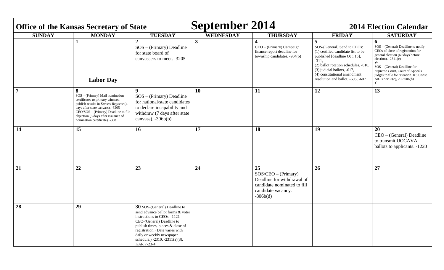| <b>September 2014</b><br><b>2014 Election Calendar</b><br><b>Office of the Kansas Secretary of State</b> |                                                                                                                                                                                                                                                                       |                                                                                                                                                                                                                                                                                   |                         |                                                                                                                              |                                                                                                                                                                                                                                                               |                                                                                                                                                                                                                                                                                                                                |
|----------------------------------------------------------------------------------------------------------|-----------------------------------------------------------------------------------------------------------------------------------------------------------------------------------------------------------------------------------------------------------------------|-----------------------------------------------------------------------------------------------------------------------------------------------------------------------------------------------------------------------------------------------------------------------------------|-------------------------|------------------------------------------------------------------------------------------------------------------------------|---------------------------------------------------------------------------------------------------------------------------------------------------------------------------------------------------------------------------------------------------------------|--------------------------------------------------------------------------------------------------------------------------------------------------------------------------------------------------------------------------------------------------------------------------------------------------------------------------------|
| <b>SUNDAY</b>                                                                                            | <b>MONDAY</b>                                                                                                                                                                                                                                                         | <b>TUESDAY</b>                                                                                                                                                                                                                                                                    | <b>WEDNESDAY</b>        | <b>THURSDAY</b>                                                                                                              | <b>FRIDAY</b>                                                                                                                                                                                                                                                 | <b>SATURDAY</b>                                                                                                                                                                                                                                                                                                                |
|                                                                                                          | 1<br><b>Labor Day</b>                                                                                                                                                                                                                                                 | $\overline{2}$<br>$SOS - (Primary)$ Deadline<br>for state board of<br>canvassers to meet. -3205                                                                                                                                                                                   | $\overline{\mathbf{3}}$ | 4<br>CEO - (Primary) Campaign<br>finance report deadline for<br>township candidates. -904(b)                                 | 5<br>SOS-(General) Send to CEOs:<br>(1) certified candidate list to be<br>published [deadline Oct. 15],<br>$-311,$<br>(2) ballot rotation schedules, -610<br>(3) judicial ballots, -617,<br>(4) constitutional amendment<br>resolution and ballot. -605, -607 | 6<br>$SOS - (General)$ Deadline to notify<br>CEOs of close of registration for<br>general election (60 days before<br>election). $-2311(c)$<br>$\leftarrow$<br>$SOS - (General)$ Deadline for<br>Supreme Court, Court of Appeals<br>judges to file for retention. KS Const.<br>Art. 3 Sec. $5(c)$ , 20-3006(b)<br>$\leftarrow$ |
| $\overline{7}$                                                                                           | 8<br>SOS - (Primary) Mail nomination<br>certificates to primary winners,<br>publish results in Kansas Register (4<br>days after state canvass). -3205<br>CEO/SOS - (Primary) Deadline to file<br>objection (3 days after issuance of<br>nomination certificate). -308 | 9<br>$SOS - (Primary)$ Deadline<br>for national/state candidates<br>to declare incapability and<br>withdraw (7 days after state<br>canvass). $-306b(b)$                                                                                                                           | 10                      | <b>11</b>                                                                                                                    | 12                                                                                                                                                                                                                                                            | 13                                                                                                                                                                                                                                                                                                                             |
| 14                                                                                                       | 15                                                                                                                                                                                                                                                                    | 16                                                                                                                                                                                                                                                                                | 17                      | <b>18</b>                                                                                                                    | 19                                                                                                                                                                                                                                                            | 20<br>CEO - (General) Deadline<br>to transmit UOCAVA<br>ballots to applicants. -1220                                                                                                                                                                                                                                           |
| 21                                                                                                       | 22                                                                                                                                                                                                                                                                    | 23                                                                                                                                                                                                                                                                                | 24                      | 25<br>$SOS/CEO - (Primary)$<br>Deadline for withdrawal of<br>candidate nominated to fill<br>candidate vacancy.<br>$-306b(d)$ | 26                                                                                                                                                                                                                                                            | 27                                                                                                                                                                                                                                                                                                                             |
| 28                                                                                                       | 29                                                                                                                                                                                                                                                                    | 30 SOS-(General) Deadline to<br>send advance ballot forms & voter<br>instructions to CEOs. -1121<br>CEO-(General) Deadline to<br>publish times, places & close of<br>registration. (Date varies with<br>daily or weekly newspaper<br>schedule.) -2310, -2311(a)(3),<br>KAR 7-23-4 |                         |                                                                                                                              |                                                                                                                                                                                                                                                               |                                                                                                                                                                                                                                                                                                                                |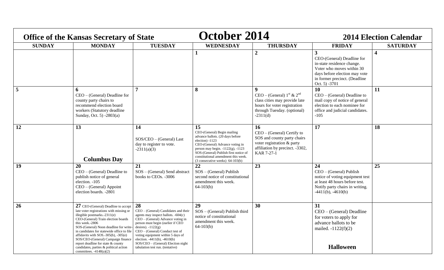| <b>Office of the Kansas Secretary of State</b> |                                                                                                                                                                                                                                                                                                                                                                                                                                                                      |                                                                                                                                                                                                                                                                                                                                                                                  | October 2014                                                                                                                                                                                                                                                                                 |                                                                                                                                                                       | <b>2014 Election Calendar</b>                                                                                                                                                 |                         |  |
|------------------------------------------------|----------------------------------------------------------------------------------------------------------------------------------------------------------------------------------------------------------------------------------------------------------------------------------------------------------------------------------------------------------------------------------------------------------------------------------------------------------------------|----------------------------------------------------------------------------------------------------------------------------------------------------------------------------------------------------------------------------------------------------------------------------------------------------------------------------------------------------------------------------------|----------------------------------------------------------------------------------------------------------------------------------------------------------------------------------------------------------------------------------------------------------------------------------------------|-----------------------------------------------------------------------------------------------------------------------------------------------------------------------|-------------------------------------------------------------------------------------------------------------------------------------------------------------------------------|-------------------------|--|
| <b>SUNDAY</b>                                  | <b>MONDAY</b>                                                                                                                                                                                                                                                                                                                                                                                                                                                        | <b>TUESDAY</b>                                                                                                                                                                                                                                                                                                                                                                   | <b>WEDNESDAY</b>                                                                                                                                                                                                                                                                             | <b>THURSDAY</b>                                                                                                                                                       | <b>FRIDAY</b>                                                                                                                                                                 | <b>SATURDAY</b>         |  |
|                                                |                                                                                                                                                                                                                                                                                                                                                                                                                                                                      |                                                                                                                                                                                                                                                                                                                                                                                  |                                                                                                                                                                                                                                                                                              | $\overline{2}$                                                                                                                                                        | 3<br>CEO-(General) Deadline for<br>in-state residence change.<br>Voter who moves within 30<br>days before election may vote<br>in former precinct. (Deadline<br>Oct. 5) -3701 | $\overline{\mathbf{4}}$ |  |
| $\overline{5}$                                 | 6<br>$CEO - (General)$ Deadline for<br>county party chairs to<br>recommend election board<br>workers (Statutory deadline<br>Sunday, Oct. 5) -2803(a)                                                                                                                                                                                                                                                                                                                 |                                                                                                                                                                                                                                                                                                                                                                                  | 8                                                                                                                                                                                                                                                                                            | $\boldsymbol{9}$<br>CEO – (General) $1^{st}$ & $2^{nd}$<br>class cities may provide late<br>hours for voter registration<br>through Tuesday. (optional)<br>$-2311(d)$ | 10<br>$CEO - (General)$ Deadline to<br>mail copy of notice of general<br>election to each nominee for<br>office and judicial candidates.<br>$-105$                            | 11                      |  |
| 12                                             | 13<br><b>Columbus Day</b>                                                                                                                                                                                                                                                                                                                                                                                                                                            | 14<br>SOS/CEO - (General) Last<br>day to register to vote.<br>$-2311(a)(3)$                                                                                                                                                                                                                                                                                                      | 15<br>CEO-(General) Begin mailing<br>advance ballots. (20 days before<br>election) -1123<br>CEO-(General) Advance voting in<br>person may begin. $-1122(g)$ , $-1123$<br>SOS-(General) Publish first notice of<br>constitutional amendment this week.<br>$(3$ consecutive weeks) $64-103(b)$ | 16<br>$CEO - (General)$ Certify to<br>SOS and county party chairs<br>voter registration & party<br>affiliation by precinct. -3302,<br>KAR 7-27-1                      | 17                                                                                                                                                                            | 18                      |  |
| 19                                             | 20<br>$CEO - (General)$ Deadline to<br>publish notice of general<br>election. -105<br>CEO - (General) Appoint<br>election boards. -2801                                                                                                                                                                                                                                                                                                                              | 21<br>SOS - (General) Send abstract<br>books to CEOs. -3006                                                                                                                                                                                                                                                                                                                      | 22<br>$SOS - (General)$ Publish<br>second notice of constitutional<br>amendment this week.<br>$64-103(b)$                                                                                                                                                                                    | 23                                                                                                                                                                    | 24<br>CEO - (General) Publish<br>notice of voting equipment test<br>at least 48 hours before test.<br>Notify party chairs in writing.<br>$-4411(b)$ , $-4610(b)$              | 25                      |  |
| 26                                             | 27 CEO-(General) Deadline to accept<br>late voter registrations with missing or<br>illegible postmarks. $-2311(e)$<br>CEO-(General) Train election boards<br>this week.-2806<br>SOS-(General) Noon deadline for write-<br>in candidates for statewide office to file<br>affidavits with $SOS.-305(b)$ , $-305(e)$<br>SOS/CEO-(General) Campaign finance<br>report deadline for state & county<br>candidates, parties & political action<br>committees. $-4148(a)(2)$ | 28<br>CEO - (General) Candidates and their<br>agents may inspect ballots. $-604(c)$<br>$CEO - (General)$ Advance voting in<br>person must begin (earlier if CEO<br>desires). $-1122(g)$<br>CEO - (General) Conduct test of<br>voting equipment within 5 days of<br>election. $-4411(b)$ , $-4610(b)$<br>$SOS/CEO$ – (General) Election night<br>tabulation test run. (tentative) | 29<br>$SOS - (General)$ Publish third<br>notice of constitutional<br>amendment this week.<br>$64-103(b)$                                                                                                                                                                                     | 30                                                                                                                                                                    | 31<br>$CEO - (General)$ Deadline<br>for voters to apply for<br>advance ballots to be<br>mailed. $-1122(f)(2)$<br><b>Halloween</b>                                             |                         |  |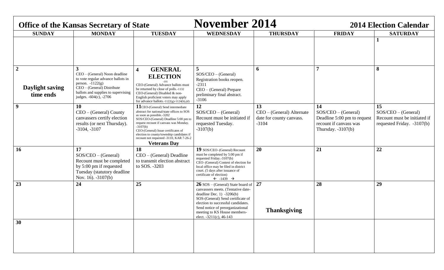| <b>Office of the Kansas Secretary of State</b> |                                                                                                                                                                                                    |                                                                                                                                                                                                                                                                                                                                                                     | <b>November 2014</b>                                                                                                                                                                                                                                                                  |                                                                        | <b>2014 Election Calendar</b>                                                                                |                                                                                           |  |
|------------------------------------------------|----------------------------------------------------------------------------------------------------------------------------------------------------------------------------------------------------|---------------------------------------------------------------------------------------------------------------------------------------------------------------------------------------------------------------------------------------------------------------------------------------------------------------------------------------------------------------------|---------------------------------------------------------------------------------------------------------------------------------------------------------------------------------------------------------------------------------------------------------------------------------------|------------------------------------------------------------------------|--------------------------------------------------------------------------------------------------------------|-------------------------------------------------------------------------------------------|--|
| <b>SUNDAY</b>                                  | <b>MONDAY</b>                                                                                                                                                                                      | <b>TUESDAY</b>                                                                                                                                                                                                                                                                                                                                                      | <b>WEDNESDAY</b>                                                                                                                                                                                                                                                                      | <b>THURSDAY</b>                                                        | <b>FRIDAY</b>                                                                                                | <b>SATURDAY</b>                                                                           |  |
|                                                |                                                                                                                                                                                                    |                                                                                                                                                                                                                                                                                                                                                                     |                                                                                                                                                                                                                                                                                       |                                                                        |                                                                                                              | 1                                                                                         |  |
| $\overline{2}$<br>Daylight saving<br>time ends | 3<br>CEO – (General) Noon deadline<br>to vote regular advance ballots in<br>person. $-1122(g)$<br>CEO - (General) Distribute<br>ballots and supplies to supervising<br>judges. $-604(c)$ , $-2706$ | <b>GENERAL</b><br>$\overline{\mathbf{4}}$<br><b>ELECTION</b><br>CEO-(General) Advance ballots must<br>be returned by close of polls.-1132<br>CEO-(General) Disabled & non-<br>English proficient voters may apply<br>for advance ballots.-1122(g)-1124(b),(d)                                                                                                       | 5<br>$SOS/CEO$ – (General)<br>Registration books reopen.<br>$-2311$<br>CEO - (General) Prepare<br>preliminary final abstract.<br>$-3106$                                                                                                                                              | 6                                                                      | 7                                                                                                            | 8                                                                                         |  |
| 9                                              | 10<br>CEO – (General) County<br>canvassers certify election<br>results (or next Thursday).<br>$-3104, -3107$                                                                                       | 11CEO-(General) Send intermediate<br>abstract for national/state offices to SOS<br>as soon as possible.-3202<br>SOS/CEO-(General) Deadline 5:00 pm to<br>request recount if canvass was Monday.<br>$-3107(b)$<br>CEO-(General) Issue certificates of<br>election to county/township candidates if<br>recount not requested -3110, KAR 7-26-2<br><b>Veterans Day</b> | 12<br>$SOS/CEO$ – (General)<br>Recount must be initiated if<br>requested Tuesday.<br>$-3107(b)$                                                                                                                                                                                       | 13<br>CEO - (General) Alternate<br>date for county canvass.<br>$-3104$ | 14<br>$SOS/CEO$ – (General)<br>Deadline 5:00 pm to request<br>recount if canvass was<br>Thursday. $-3107(b)$ | 15<br>$SOS/CEO$ – (General)<br>Recount must be initiated if<br>requested Friday. -3107(b) |  |
| 16                                             | 17<br>$SOS/CEO$ – (General)<br>Recount must be completed<br>by 5:00 pm if requested<br>Tuesday (statutory deadline<br>Nov. 16). -3107(b)                                                           | 18<br>CEO - (General) Deadline<br>to transmit election abstract<br>to SOS. -3203                                                                                                                                                                                                                                                                                    | 19 SOS/CEO-(General) Recount<br>must be completed by 5:00 pm if<br>requested Friday.-3107(b)<br>CEO-(General) Contest of election for<br>local office may be filed in district<br>court. (5 days after issuance of<br>certificate of election)<br>$\leftarrow$ -1439 $\rightarrow$    | 20                                                                     | 21                                                                                                           | 22                                                                                        |  |
| 23                                             | 24                                                                                                                                                                                                 | 25                                                                                                                                                                                                                                                                                                                                                                  | $26$ SOS – (General) State board of<br>canvassers meets. (Tentative date-<br>deadline Dec. $1) -3206(b)$<br>SOS-(General) Send certificate of<br>election to successful candidates.<br>Send notice of preorganizational<br>meeting to KS House members-<br>elect. $-3211(c)$ , 46-143 | 27<br><b>Thanksgiving</b>                                              | 28                                                                                                           | 29                                                                                        |  |
| 30                                             |                                                                                                                                                                                                    |                                                                                                                                                                                                                                                                                                                                                                     |                                                                                                                                                                                                                                                                                       |                                                                        |                                                                                                              |                                                                                           |  |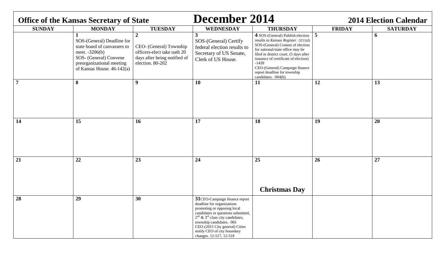|               | <b>Office of the Kansas Secretary of State</b>                                                                                                                        |                                                                                                                              | December 2014                                                                                                                                                                                                                                                                                               |                                                                                                                                                                                                                                                                                                                                         | <b>2014 Election Calendar</b> |                 |
|---------------|-----------------------------------------------------------------------------------------------------------------------------------------------------------------------|------------------------------------------------------------------------------------------------------------------------------|-------------------------------------------------------------------------------------------------------------------------------------------------------------------------------------------------------------------------------------------------------------------------------------------------------------|-----------------------------------------------------------------------------------------------------------------------------------------------------------------------------------------------------------------------------------------------------------------------------------------------------------------------------------------|-------------------------------|-----------------|
| <b>SUNDAY</b> | <b>MONDAY</b>                                                                                                                                                         | <b>TUESDAY</b>                                                                                                               | <b>WEDNESDAY</b>                                                                                                                                                                                                                                                                                            | <b>THURSDAY</b>                                                                                                                                                                                                                                                                                                                         | <b>FRIDAY</b>                 | <b>SATURDAY</b> |
|               | SOS-(General) Deadline for<br>state board of canvassers to<br>meet. $-3206(b)$<br>SOS- (General) Convene<br>preorganizational meeting<br>of Kansas House. $46-142(a)$ | $\overline{2}$<br>CEO- (General) Township<br>officers-elect take oath 20<br>days after being notified of<br>election. 80-202 | 3<br>SOS-(General) Certify<br>federal election results to<br>Secretary of US Senate,<br>Clerk of US House.                                                                                                                                                                                                  | 4 SOS-(General) Publish election<br>results in Kansas Register. -3211(d)<br>SOS-(General) Contest of election<br>for national/state office may be<br>filed in district court. (5 days after<br>issuance of certificate of election)<br>$-1439$<br>CEO-(General) Campaign finance<br>report deadline for township<br>candidates. -904(b) | $\overline{5}$                | 6               |
|               | 8                                                                                                                                                                     | $\boldsymbol{9}$                                                                                                             | 10                                                                                                                                                                                                                                                                                                          | 11                                                                                                                                                                                                                                                                                                                                      | 12                            | 13              |
| 14            | 15                                                                                                                                                                    | <b>16</b>                                                                                                                    | 17                                                                                                                                                                                                                                                                                                          | 18                                                                                                                                                                                                                                                                                                                                      | 19                            | 20              |
| 21            | 22                                                                                                                                                                    | 23                                                                                                                           | 24                                                                                                                                                                                                                                                                                                          | 25<br><b>Christmas Day</b>                                                                                                                                                                                                                                                                                                              | 26                            | $\overline{27}$ |
| 28            | 29                                                                                                                                                                    | 30                                                                                                                           | 31CEO-Campaign finance report<br>deadline for organizations<br>promoting or opposing local<br>candidates or questions submitted,<br>$2nd$ & 3 <sup>rd</sup> class city candidates,<br>township candidates. -901<br>CEO-(2015 City general) Cities<br>notify CEO of city boundary<br>changes. 12-517, 12-518 |                                                                                                                                                                                                                                                                                                                                         |                               |                 |